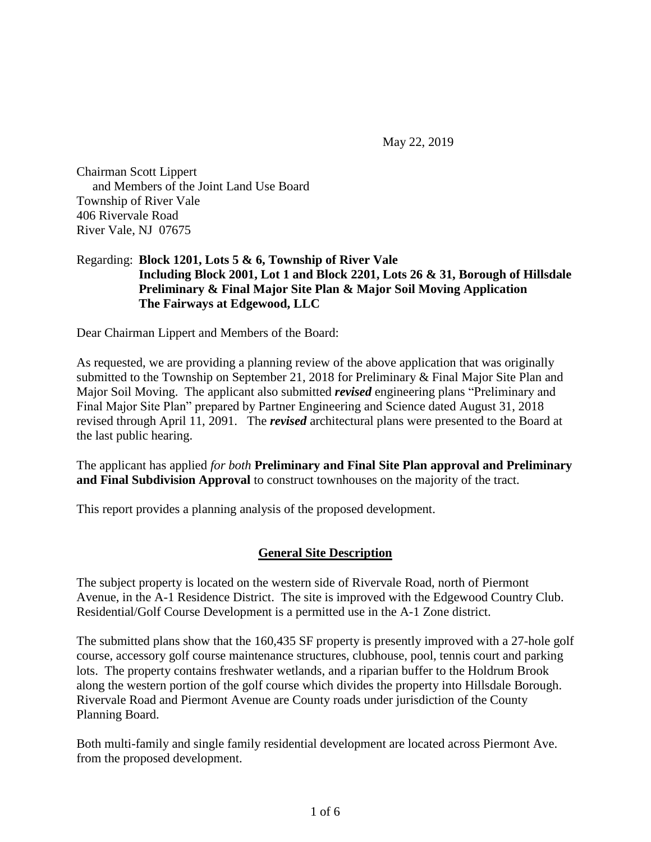May 22, 2019

Chairman Scott Lippert and Members of the Joint Land Use Board Township of River Vale 406 Rivervale Road River Vale, NJ 07675

#### Regarding: **Block 1201, Lots 5 & 6, Township of River Vale Including Block 2001, Lot 1 and Block 2201, Lots 26 & 31, Borough of Hillsdale Preliminary & Final Major Site Plan & Major Soil Moving Application The Fairways at Edgewood, LLC**

Dear Chairman Lippert and Members of the Board:

As requested, we are providing a planning review of the above application that was originally submitted to the Township on September 21, 2018 for Preliminary & Final Major Site Plan and Major Soil Moving. The applicant also submitted *revised* engineering plans "Preliminary and Final Major Site Plan" prepared by Partner Engineering and Science dated August 31, 2018 revised through April 11, 2091. The *revised* architectural plans were presented to the Board at the last public hearing.

The applicant has applied *for both* **Preliminary and Final Site Plan approval and Preliminary and Final Subdivision Approval** to construct townhouses on the majority of the tract.

This report provides a planning analysis of the proposed development.

#### **General Site Description**

The subject property is located on the western side of Rivervale Road, north of Piermont Avenue, in the A-1 Residence District. The site is improved with the Edgewood Country Club. Residential/Golf Course Development is a permitted use in the A-1 Zone district.

The submitted plans show that the 160,435 SF property is presently improved with a 27-hole golf course, accessory golf course maintenance structures, clubhouse, pool, tennis court and parking lots. The property contains freshwater wetlands, and a riparian buffer to the Holdrum Brook along the western portion of the golf course which divides the property into Hillsdale Borough. Rivervale Road and Piermont Avenue are County roads under jurisdiction of the County Planning Board.

Both multi-family and single family residential development are located across Piermont Ave. from the proposed development.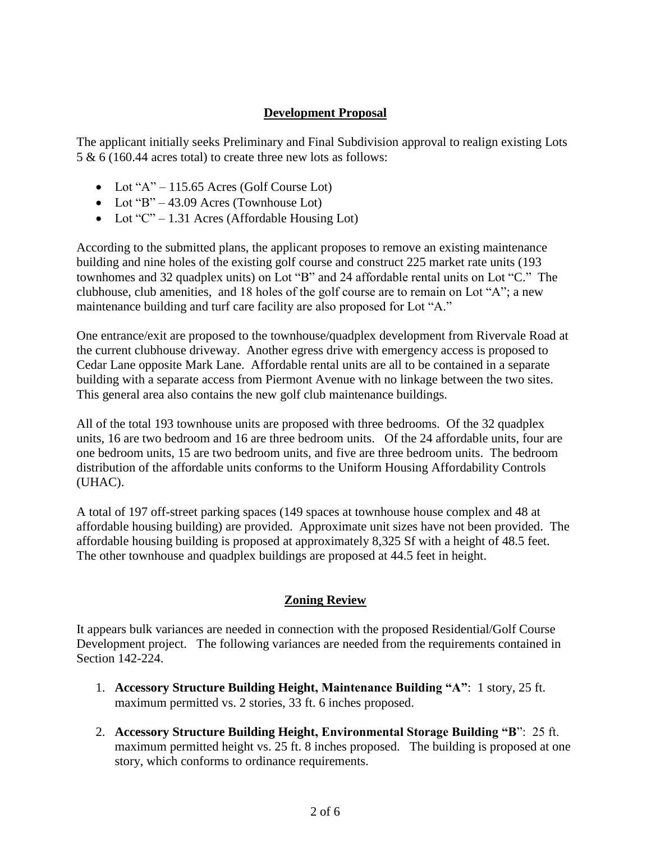### **Development Proposal**

The applicant initially seeks Preliminary and Final Subdivision approval to realign existing Lots 5 & 6 (160.44 acres total) to create three new lots as follows:

- Lot " $A$ " 115.65 Acres (Golf Course Lot)
- Lot "B" 43.09 Acres (Townhouse Lot)
- Lot " $C$ " 1.31 Acres (Affordable Housing Lot)

According to the submitted plans, the applicant proposes to remove an existing maintenance building and nine holes of the existing golf course and construct 225 market rate units (193 townhomes and 32 quadplex units) on Lot "B" and 24 affordable rental units on Lot "C." The clubhouse, club amenities, and 18 holes of the golf course are to remain on Lot "A"; a new maintenance building and turf care facility are also proposed for Lot "A."

One entrance/exit are proposed to the townhouse/quadplex development from Rivervale Road at the current clubhouse driveway. Another egress drive with emergency access is proposed to Cedar Lane opposite Mark Lane. Affordable rental units are all to be contained in a separate building with a separate access from Piermont Avenue with no linkage between the two sites. This general area also contains the new golf club maintenance buildings.

All of the total 193 townhouse units are proposed with three bedrooms. Of the 32 quadplex units, 16 are two bedroom and 16 are three bedroom units. Of the 24 affordable units, four are one bedroom units, 15 are two bedroom units, and five are three bedroom units. The bedroom distribution of the affordable units conforms to the Uniform Housing Affordability Controls (UHAC).

A total of 197 off-street parking spaces (149 spaces at townhouse house complex and 48 at affordable housing building) are provided. Approximate unit sizes have not been provided. The affordable housing building is proposed at approximately 8,325 Sf with a height of 48.5 feet. The other townhouse and quadplex buildings are proposed at 44.5 feet in height.

## **Zoning Review**

It appears bulk variances are needed in connection with the proposed Residential/Golf Course Development project. The following variances are needed from the requirements contained in Section 142-224.

- 1. **Accessory Structure Building Height, Maintenance Building "A"**: 1 story, 25 ft. maximum permitted vs. 2 stories, 33 ft. 6 inches proposed.
- 2. **Accessory Structure Building Height, Environmental Storage Building "B**": 25 ft. maximum permitted height vs. 25 ft. 8 inches proposed. The building is proposed at one story, which conforms to ordinance requirements.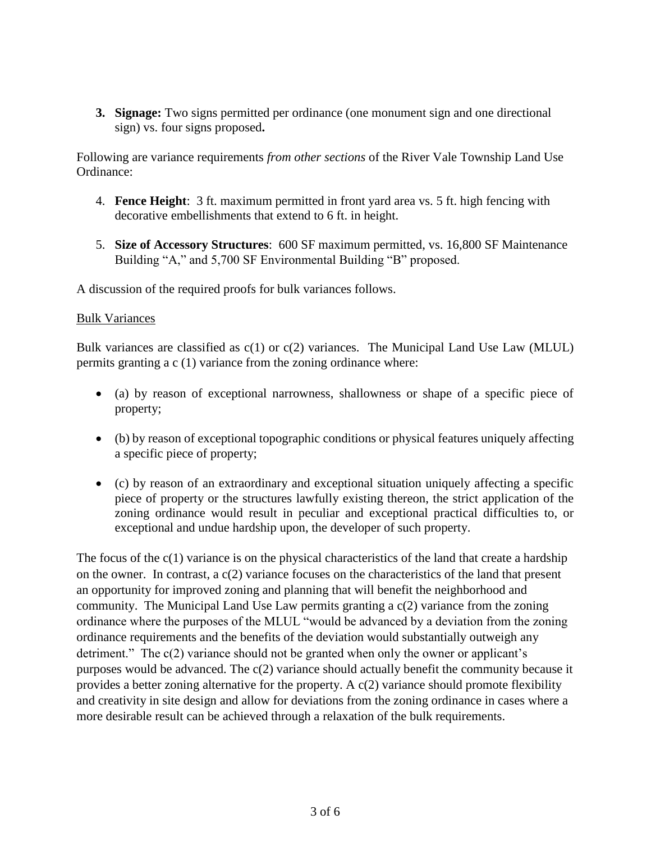**3. Signage:** Two signs permitted per ordinance (one monument sign and one directional sign) vs. four signs proposed**.** 

Following are variance requirements *from other sections* of the River Vale Township Land Use Ordinance:

- 4. **Fence Height**: 3 ft. maximum permitted in front yard area vs. 5 ft. high fencing with decorative embellishments that extend to 6 ft. in height.
- 5. **Size of Accessory Structures**: 600 SF maximum permitted, vs. 16,800 SF Maintenance Building "A," and 5,700 SF Environmental Building "B" proposed.

A discussion of the required proofs for bulk variances follows.

#### Bulk Variances

Bulk variances are classified as  $c(1)$  or  $c(2)$  variances. The Municipal Land Use Law (MLUL) permits granting a c (1) variance from the zoning ordinance where:

- (a) by reason of exceptional narrowness, shallowness or shape of a specific piece of property;
- (b) by reason of exceptional topographic conditions or physical features uniquely affecting a specific piece of property;
- (c) by reason of an extraordinary and exceptional situation uniquely affecting a specific piece of property or the structures lawfully existing thereon, the strict application of the zoning ordinance would result in peculiar and exceptional practical difficulties to, or exceptional and undue hardship upon, the developer of such property.

The focus of the  $c(1)$  variance is on the physical characteristics of the land that create a hardship on the owner. In contrast, a c(2) variance focuses on the characteristics of the land that present an opportunity for improved zoning and planning that will benefit the neighborhood and community. The Municipal Land Use Law permits granting a c(2) variance from the zoning ordinance where the purposes of the MLUL "would be advanced by a deviation from the zoning ordinance requirements and the benefits of the deviation would substantially outweigh any detriment." The c(2) variance should not be granted when only the owner or applicant's purposes would be advanced. The c(2) variance should actually benefit the community because it provides a better zoning alternative for the property. A  $c(2)$  variance should promote flexibility and creativity in site design and allow for deviations from the zoning ordinance in cases where a more desirable result can be achieved through a relaxation of the bulk requirements.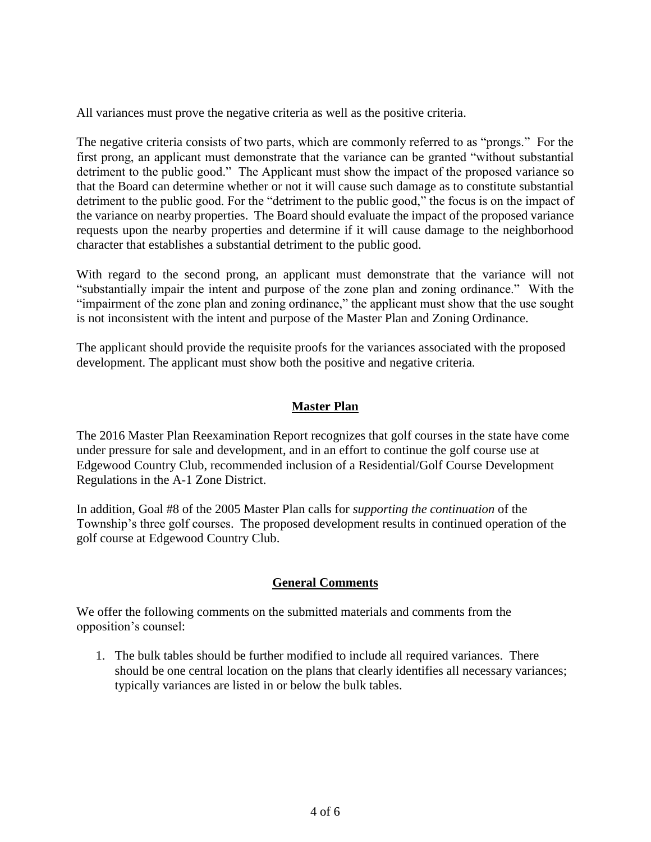All variances must prove the negative criteria as well as the positive criteria.

The negative criteria consists of two parts, which are commonly referred to as "prongs." For the first prong, an applicant must demonstrate that the variance can be granted "without substantial detriment to the public good." The Applicant must show the impact of the proposed variance so that the Board can determine whether or not it will cause such damage as to constitute substantial detriment to the public good. For the "detriment to the public good," the focus is on the impact of the variance on nearby properties. The Board should evaluate the impact of the proposed variance requests upon the nearby properties and determine if it will cause damage to the neighborhood character that establishes a substantial detriment to the public good.

With regard to the second prong, an applicant must demonstrate that the variance will not "substantially impair the intent and purpose of the zone plan and zoning ordinance." With the "impairment of the zone plan and zoning ordinance," the applicant must show that the use sought is not inconsistent with the intent and purpose of the Master Plan and Zoning Ordinance.

The applicant should provide the requisite proofs for the variances associated with the proposed development. The applicant must show both the positive and negative criteria.

# **Master Plan**

The 2016 Master Plan Reexamination Report recognizes that golf courses in the state have come under pressure for sale and development, and in an effort to continue the golf course use at Edgewood Country Club, recommended inclusion of a Residential/Golf Course Development Regulations in the A-1 Zone District.

In addition, Goal #8 of the 2005 Master Plan calls for *supporting the continuation* of the Township's three golf courses. The proposed development results in continued operation of the golf course at Edgewood Country Club.

## **General Comments**

We offer the following comments on the submitted materials and comments from the opposition's counsel:

1. The bulk tables should be further modified to include all required variances. There should be one central location on the plans that clearly identifies all necessary variances; typically variances are listed in or below the bulk tables.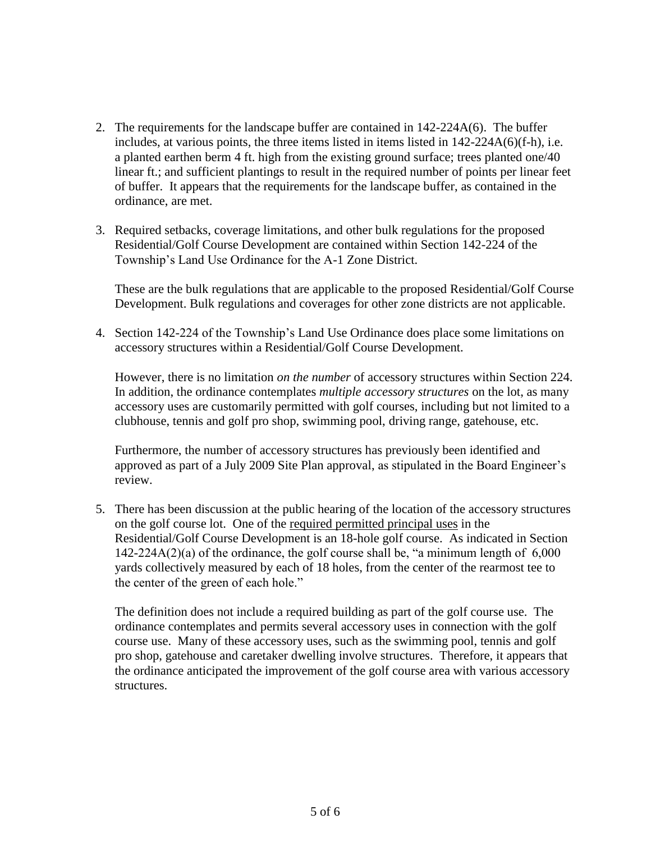- 2. The requirements for the landscape buffer are contained in 142-224A(6). The buffer includes, at various points, the three items listed in items listed in 142-224A(6)(f-h), i.e. a planted earthen berm 4 ft. high from the existing ground surface; trees planted one/40 linear ft.; and sufficient plantings to result in the required number of points per linear feet of buffer. It appears that the requirements for the landscape buffer, as contained in the ordinance, are met.
- 3. Required setbacks, coverage limitations, and other bulk regulations for the proposed Residential/Golf Course Development are contained within Section 142-224 of the Township's Land Use Ordinance for the A-1 Zone District.

These are the bulk regulations that are applicable to the proposed Residential/Golf Course Development. Bulk regulations and coverages for other zone districts are not applicable.

4. Section 142-224 of the Township's Land Use Ordinance does place some limitations on accessory structures within a Residential/Golf Course Development.

However, there is no limitation *on the number* of accessory structures within Section 224. In addition, the ordinance contemplates *multiple accessory structures* on the lot, as many accessory uses are customarily permitted with golf courses, including but not limited to a clubhouse, tennis and golf pro shop, swimming pool, driving range, gatehouse, etc.

Furthermore, the number of accessory structures has previously been identified and approved as part of a July 2009 Site Plan approval, as stipulated in the Board Engineer's review.

5. There has been discussion at the public hearing of the location of the accessory structures on the golf course lot. One of the required permitted principal uses in the Residential/Golf Course Development is an 18-hole golf course. As indicated in Section 142-224A(2)(a) of the ordinance, the golf course shall be, "a minimum length of 6,000 yards collectively measured by each of 18 holes, from the center of the rearmost tee to the center of the green of each hole."

The definition does not include a required building as part of the golf course use. The ordinance contemplates and permits several accessory uses in connection with the golf course use. Many of these accessory uses, such as the swimming pool, tennis and golf pro shop, gatehouse and caretaker dwelling involve structures. Therefore, it appears that the ordinance anticipated the improvement of the golf course area with various accessory structures.